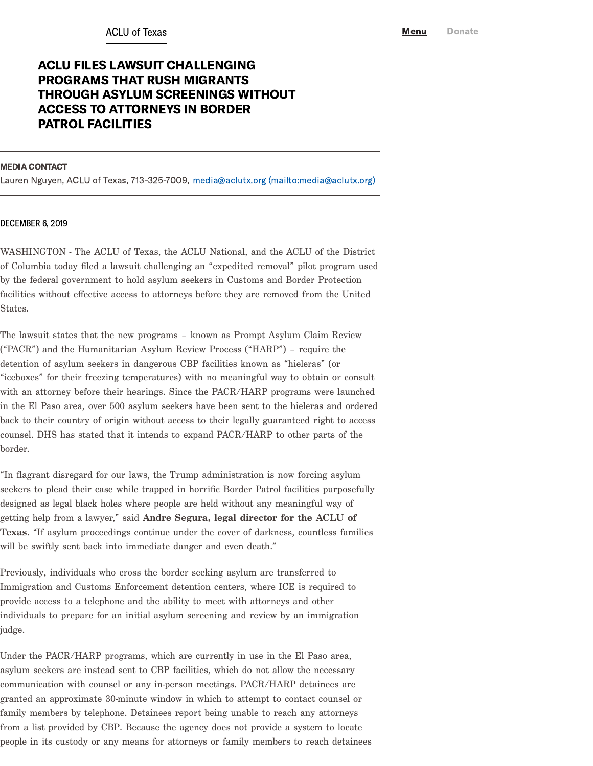## ACLU FILES LAWSUIT CHALLENGING PROGRAMS THAT RUSH MIGRANTS THROUGH ASYLUM SCREENINGS WITHOUT ACCESS TO ATTORNEYS IN BORDER PATROL FACILITIES

## MEDIA CONTACT

Lauren Nguyen, ACLU of Texas, 713-325-7009, media@aclutx.org [\(mailto:media@aclutx.org\)](mailto:media@aclutx.org)

## DECEMBER 6, 2019

WASHINGTON - The ACLU of Texas, the ACLU National, and the ACLU of the District of Columbia today filed a lawsuit challenging an "expedited removal" pilot program used by the federal government to hold asylum seekers in Customs and Border Protection facilities without effective access to attorneys before they are removed from the United States.

The lawsuit states that the new programs – known as Prompt Asylum Claim Review ("PACR") and the Humanitarian Asylum Review Process ("HARP") – require the detention of asylum seekers in dangerous CBP facilities known as "hieleras" (or "iceboxes" for their freezing temperatures) with no meaningful way to obtain or consult with an attorney before their hearings. Since the PACR/HARP programs were launched in the El Paso area, over 500 asylum seekers have been sent to the hieleras and ordered back to their country of origin without access to their legally guaranteed right to access counsel. DHS has stated that it intends to expand PACR/HARP to other parts of the border.

"In flagrant disregard for our laws, the Trump administration is now forcing asylum seekers to plead their case while trapped in horrific Border Patrol facilities purposefully designed as legal black holes where people are held without any meaningful way of getting help from a lawyer," said Andre Segura, legal director for the ACLU of Texas. "If asylum proceedings continue under the cover of darkness, countless families will be swiftly sent back into immediate danger and even death."

Previously, individuals who cross the border seeking asylum are transferred to Immigration and Customs Enforcement detention centers, where ICE is required to provide access to a telephone and the ability to meet with attorneys and other individuals to prepare for an initial asylum screening and review by an immigration judge.

Under the PACR/HARP programs, which are currently in use in the El Paso area, asylum seekers are instead sent to CBP facilities, which do not allow the necessary communication with counsel or any in-person meetings. PACR/HARP detainees are granted an approximate 30-minute window in which to attempt to contact counsel or family members by telephone. Detainees report being unable to reach any attorneys from a list provided by CBP. Because the agency does not provide a system to locate people in its custody or any means for attorneys or family members to reach detainees